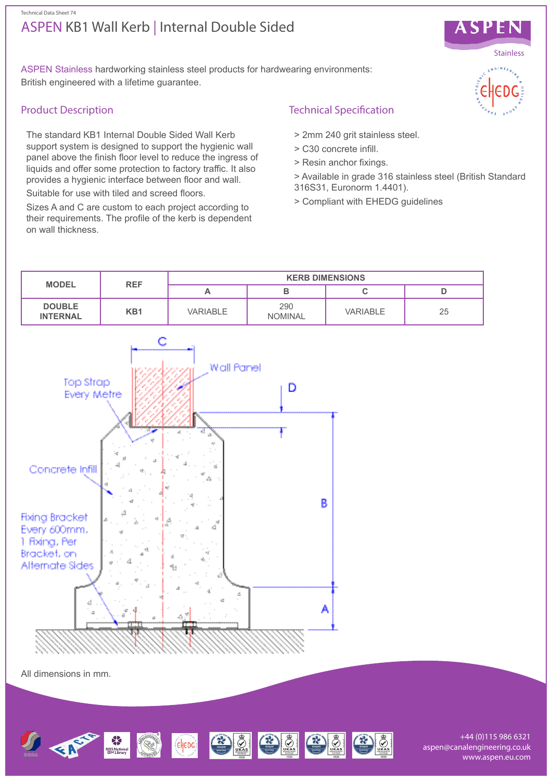## ASPEN KB1 Wall Kerb | Internal Double Sided Technical Data Sheet 74



ASPEN Stainless hardworking stainless steel products for hardwearing environments: British engineered with a lifetime guarantee.

## Product Description

The standard KB1 Internal Double Sided Wall Kerb support system is designed to support the hygienic wall panel above the finish floor level to reduce the ingress of liquids and offer some protection to factory traffic. It also provides a hygienic interface between floor and wall.

Suitable for use with tiled and screed floors.

Sizes A and C are custom to each project according to their requirements. The profile of the kerb is dependent on wall thickness.

# Technical Specification

- > 2mm 240 grit stainless steel.
- > C30 concrete infill.
- > Resin anchor fixings.
- > Available in grade 316 stainless steel (British Standard 316S31, Euronorm 1.4401).
- > Compliant with EHEDG guidelines





+44 (0)115 986 6321 aspen@canalengineering.co.uk www.aspen.eu.com